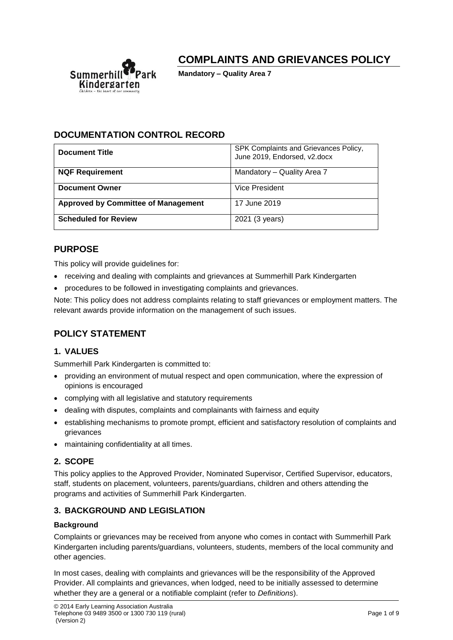

# **COMPLAINTS AND GRIEVANCES POLICY**

**Mandatory – Quality Area 7**

# **DOCUMENTATION CONTROL RECORD**

| <b>Document Title</b>                      | SPK Complaints and Grievances Policy,<br>June 2019, Endorsed, v2.docx |
|--------------------------------------------|-----------------------------------------------------------------------|
| <b>NQF Requirement</b>                     | Mandatory - Quality Area 7                                            |
| <b>Document Owner</b>                      | Vice President                                                        |
| <b>Approved by Committee of Management</b> | 17 June 2019                                                          |
| <b>Scheduled for Review</b>                | 2021 (3 years)                                                        |

# **PURPOSE**

This policy will provide guidelines for:

- receiving and dealing with complaints and grievances at Summerhill Park Kindergarten
- procedures to be followed in investigating complaints and grievances.

Note: This policy does not address complaints relating to staff grievances or employment matters. The relevant awards provide information on the management of such issues.

# **POLICY STATEMENT**

# **1. VALUES**

Summerhill Park Kindergarten is committed to:

- providing an environment of mutual respect and open communication, where the expression of opinions is encouraged
- complying with all legislative and statutory requirements
- dealing with disputes, complaints and complainants with fairness and equity
- establishing mechanisms to promote prompt, efficient and satisfactory resolution of complaints and grievances
- maintaining confidentiality at all times.

## **2. SCOPE**

This policy applies to the Approved Provider, Nominated Supervisor, Certified Supervisor, educators, staff, students on placement, volunteers, parents/guardians, children and others attending the programs and activities of Summerhill Park Kindergarten.

## **3. BACKGROUND AND LEGISLATION**

#### **Background**

Complaints or grievances may be received from anyone who comes in contact with Summerhill Park Kindergarten including parents/guardians, volunteers, students, members of the local community and other agencies.

In most cases, dealing with complaints and grievances will be the responsibility of the Approved Provider. All complaints and grievances, when lodged, need to be initially assessed to determine whether they are a general or a notifiable complaint (refer to *Definitions*).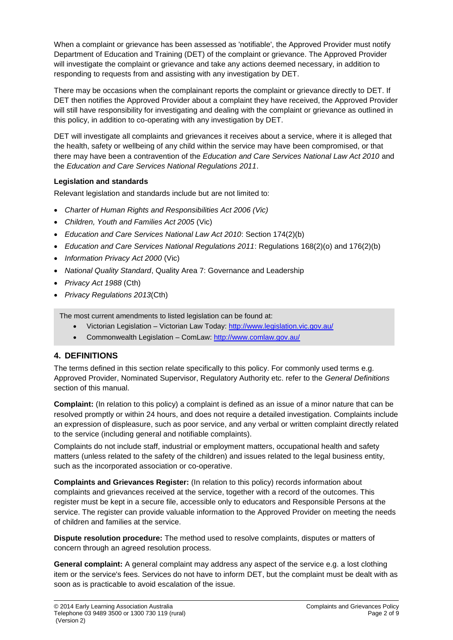When a complaint or grievance has been assessed as 'notifiable', the Approved Provider must notify Department of Education and Training (DET) of the complaint or grievance. The Approved Provider will investigate the complaint or grievance and take any actions deemed necessary, in addition to responding to requests from and assisting with any investigation by DET.

There may be occasions when the complainant reports the complaint or grievance directly to DET. If DET then notifies the Approved Provider about a complaint they have received, the Approved Provider will still have responsibility for investigating and dealing with the complaint or grievance as outlined in this policy, in addition to co-operating with any investigation by DET.

DET will investigate all complaints and grievances it receives about a service, where it is alleged that the health, safety or wellbeing of any child within the service may have been compromised, or that there may have been a contravention of the *Education and Care Services National Law Act 2010* and the *Education and Care Services National Regulations 2011*.

## **Legislation and standards**

Relevant legislation and standards include but are not limited to:

- *Charter of Human Rights and Responsibilities Act 2006 (Vic)*
- *Children, Youth and Families Act 2005* (Vic)
- *Education and Care Services National Law Act 2010*: Section 174(2)(b)
- *Education and Care Services National Regulations 2011*: Regulations 168(2)(o) and 176(2)(b)
- *Information Privacy Act 2000* (Vic)
- *National Quality Standard*, Quality Area 7: Governance and Leadership
- *Privacy Act 1988* (Cth)
- *Privacy Regulations 2013*(Cth)

The most current amendments to listed legislation can be found at:

- Victorian Legislation Victorian Law Today:<http://www.legislation.vic.gov.au/>
- Commonwealth Legislation ComLaw:<http://www.comlaw.gov.au/>

# **4. DEFINITIONS**

The terms defined in this section relate specifically to this policy. For commonly used terms e.g. Approved Provider, Nominated Supervisor, Regulatory Authority etc. refer to the *General Definitions* section of this manual.

**Complaint:** (In relation to this policy) a complaint is defined as an issue of a minor nature that can be resolved promptly or within 24 hours, and does not require a detailed investigation. Complaints include an expression of displeasure, such as poor service, and any verbal or written complaint directly related to the service (including general and notifiable complaints).

Complaints do not include staff, industrial or employment matters, occupational health and safety matters (unless related to the safety of the children) and issues related to the legal business entity, such as the incorporated association or co-operative.

**Complaints and Grievances Register:** (In relation to this policy) records information about complaints and grievances received at the service, together with a record of the outcomes. This register must be kept in a secure file, accessible only to educators and Responsible Persons at the service. The register can provide valuable information to the Approved Provider on meeting the needs of children and families at the service.

**Dispute resolution procedure:** The method used to resolve complaints, disputes or matters of concern through an agreed resolution process.

**General complaint:** A general complaint may address any aspect of the service e.g. a lost clothing item or the service's fees. Services do not have to inform DET, but the complaint must be dealt with as soon as is practicable to avoid escalation of the issue.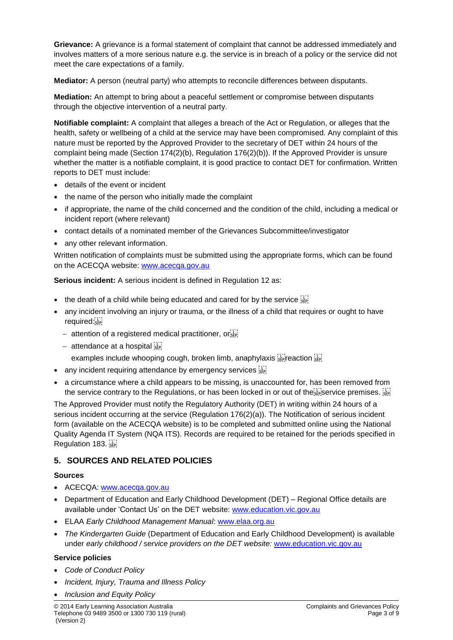**Grievance:** A grievance is a formal statement of complaint that cannot be addressed immediately and involves matters of a more serious nature e.g. the service is in breach of a policy or the service did not meet the care expectations of a family.

**Mediator:** A person (neutral party) who attempts to reconcile differences between disputants.

**Mediation:** An attempt to bring about a peaceful settlement or compromise between disputants through the objective intervention of a neutral party.

**Notifiable complaint:** A complaint that alleges a breach of the Act or Regulation, or alleges that the health, safety or wellbeing of a child at the service may have been compromised. Any complaint of this nature must be reported by the Approved Provider to the secretary of DET within 24 hours of the complaint being made (Section 174(2)(b), Regulation 176(2)(b)). If the Approved Provider is unsure whether the matter is a notifiable complaint, it is good practice to contact DET for confirmation. Written reports to DET must include:

- details of the event or incident
- the name of the person who initially made the complaint
- if appropriate, the name of the child concerned and the condition of the child, including a medical or incident report (where relevant)
- contact details of a nominated member of the Grievances Subcommittee/investigator
- any other relevant information.

Written notification of complaints must be submitted using the appropriate forms, which can be found on the ACECQA website: [www.acecqa.gov.au](http://www.acecqa.gov.au/)

**Serious incident:** A serious incident is defined in Regulation 12 as:

- the death of a child while being educated and cared for by the service  $\frac{1}{25}$
- any incident involving an injury or trauma, or the illness of a child that requires or ought to have required:
	- − attention of a registered medical practitioner, or
	- − attendance at a hospital
		- examples include whooping cough, broken limb, anaphylaxis  $\frac{1}{100}$  reaction  $\frac{1}{100}$
- any incident requiring attendance by emergency services  $\frac{1}{15}$
- a circumstance where a child appears to be missing, is unaccounted for, has been removed from the service contrary to the Regulations, or has been locked in or out of the **septimal premises.**  $\frac{1}{2}$

The Approved Provider must notify the Regulatory Authority (DET) in writing within 24 hours of a serious incident occurring at the service (Regulation 176(2)(a)). The Notification of serious incident form (available on the ACECQA website) is to be completed and submitted online using the National Quality Agenda IT System (NQA ITS). Records are required to be retained for the periods specified in Regulation 183.

# **5. SOURCES AND RELATED POLICIES**

#### **Sources**

- ACECQA: [www.acecqa.gov.au](http://www.acecqa.gov.au/)
- Department of Education and Early Childhood Development (DET) Regional Office details are available under 'Contact Us' on the DET website: [www.education.vic.gov.au](http://www.education.vic.gov.au/)
- ELAA *Early Childhood Management Manual:* [www.elaa.org.au](http://www.elaa.org.au/)
- *The Kindergarten Guide* (Department of Education and Early Childhood Development) is available under *early childhood / service providers on the DET website:* [www.education.vic.gov.au](http://www.education.vic.gov.au/)

#### **Service policies**

- *Code of Conduct Policy*
- *Incident, Injury, Trauma and Illness Policy*
- *Inclusion and Equity Policy*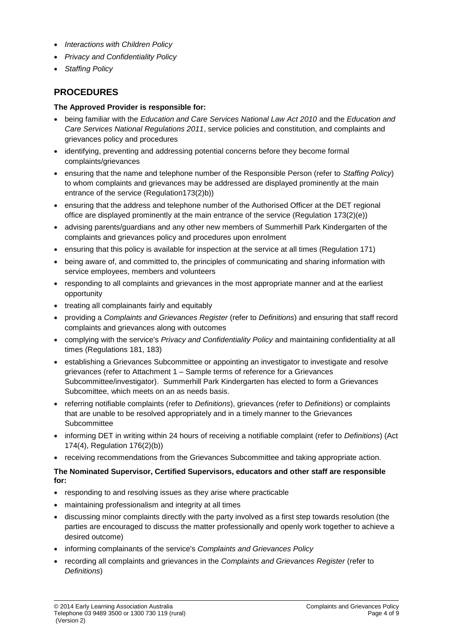- *Interactions with Children Policy*
- *Privacy and Confidentiality Policy*
- *Staffing Policy*

# **PROCEDURES**

## **The Approved Provider is responsible for:**

- being familiar with the *Education and Care Services National Law Act 2010* and the *Education and Care Services National Regulations 2011*, service policies and constitution, and complaints and grievances policy and procedures
- identifying, preventing and addressing potential concerns before they become formal complaints/grievances
- ensuring that the name and telephone number of the Responsible Person (refer to *Staffing Policy*) to whom complaints and grievances may be addressed are displayed prominently at the main entrance of the service (Regulation173(2)b))
- ensuring that the address and telephone number of the Authorised Officer at the DET regional office are displayed prominently at the main entrance of the service (Regulation 173(2)(e))
- advising parents/guardians and any other new members of Summerhill Park Kindergarten of the complaints and grievances policy and procedures upon enrolment
- ensuring that this policy is available for inspection at the service at all times (Regulation 171)
- being aware of, and committed to, the principles of communicating and sharing information with service employees, members and volunteers
- responding to all complaints and grievances in the most appropriate manner and at the earliest opportunity
- treating all complainants fairly and equitably
- providing a *Complaints and Grievances Register* (refer to *Definitions*) and ensuring that staff record complaints and grievances along with outcomes
- complying with the service's *Privacy and Confidentiality Policy* and maintaining confidentiality at all times (Regulations 181, 183)
- establishing a Grievances Subcommittee or appointing an investigator to investigate and resolve grievances (refer to Attachment 1 – Sample terms of reference for a Grievances Subcommittee/investigator). Summerhill Park Kindergarten has elected to form a Grievances Subcomittee, which meets on an as needs basis.
- referring notifiable complaints (refer to *Definitions*), grievances (refer to *Definitions*) or complaints that are unable to be resolved appropriately and in a timely manner to the Grievances **Subcommittee**
- informing DET in writing within 24 hours of receiving a notifiable complaint (refer to *Definitions*) (Act 174(4), Regulation 176(2)(b))
- receiving recommendations from the Grievances Subcommittee and taking appropriate action.

## **The Nominated Supervisor, Certified Supervisors, educators and other staff are responsible for:**

- responding to and resolving issues as they arise where practicable
- maintaining professionalism and integrity at all times
- discussing minor complaints directly with the party involved as a first step towards resolution (the parties are encouraged to discuss the matter professionally and openly work together to achieve a desired outcome)
- informing complainants of the service's *Complaints and Grievances Policy*
- recording all complaints and grievances in the *Complaints and Grievances Register* (refer to *Definitions*)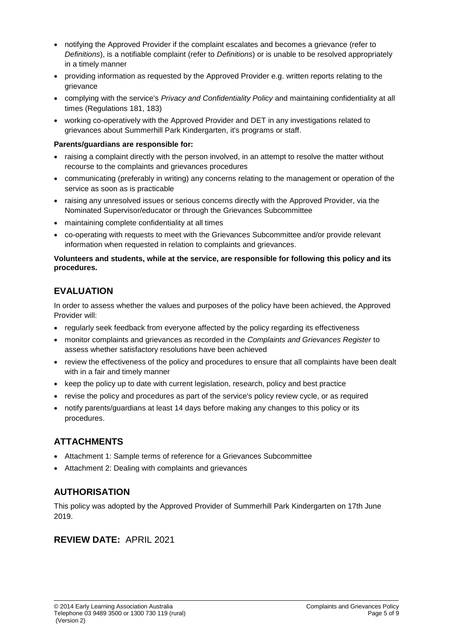- notifying the Approved Provider if the complaint escalates and becomes a grievance (refer to *Definitions*), is a notifiable complaint (refer to *Definitions*) or is unable to be resolved appropriately in a timely manner
- providing information as requested by the Approved Provider e.g. written reports relating to the grievance
- complying with the service's *Privacy and Confidentiality Policy* and maintaining confidentiality at all times (Regulations 181, 183)
- working co-operatively with the Approved Provider and DET in any investigations related to grievances about Summerhill Park Kindergarten, it's programs or staff.

#### **Parents/guardians are responsible for:**

- raising a complaint directly with the person involved, in an attempt to resolve the matter without recourse to the complaints and grievances procedures
- communicating (preferably in writing) any concerns relating to the management or operation of the service as soon as is practicable
- raising any unresolved issues or serious concerns directly with the Approved Provider, via the Nominated Supervisor/educator or through the Grievances Subcommittee
- maintaining complete confidentiality at all times
- co-operating with requests to meet with the Grievances Subcommittee and/or provide relevant information when requested in relation to complaints and grievances.

#### **Volunteers and students, while at the service, are responsible for following this policy and its procedures.**

# **EVALUATION**

In order to assess whether the values and purposes of the policy have been achieved, the Approved Provider will:

- regularly seek feedback from everyone affected by the policy regarding its effectiveness
- monitor complaints and grievances as recorded in the *Complaints and Grievances Register* to assess whether satisfactory resolutions have been achieved
- review the effectiveness of the policy and procedures to ensure that all complaints have been dealt with in a fair and timely manner
- keep the policy up to date with current legislation, research, policy and best practice
- revise the policy and procedures as part of the service's policy review cycle, or as required
- notify parents/guardians at least 14 days before making any changes to this policy or its procedures.

# **ATTACHMENTS**

- Attachment 1: Sample terms of reference for a Grievances Subcommittee
- Attachment 2: Dealing with complaints and grievances

# **AUTHORISATION**

This policy was adopted by the Approved Provider of Summerhill Park Kindergarten on 17th June 2019.

# **REVIEW DATE:** APRIL 2021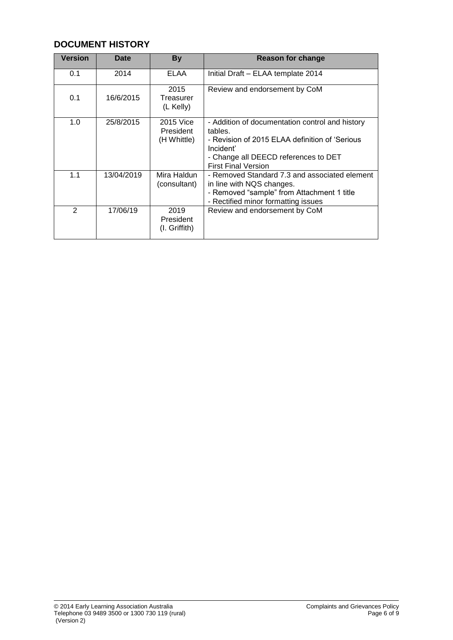# **DOCUMENT HISTORY**

| Version       | <b>Date</b> | <b>By</b>                             | <b>Reason for change</b>                                                                                                                                                                        |
|---------------|-------------|---------------------------------------|-------------------------------------------------------------------------------------------------------------------------------------------------------------------------------------------------|
| 0.1           | 2014        | ELAA                                  | Initial Draft - ELAA template 2014                                                                                                                                                              |
| 0.1           | 16/6/2015   | 2015<br>Treasurer<br>(L Kelly)        | Review and endorsement by CoM                                                                                                                                                                   |
| 1.0           | 25/8/2015   | 2015 Vice<br>President<br>(H Whittle) | - Addition of documentation control and history<br>tables.<br>- Revision of 2015 ELAA definition of 'Serious<br>Incident'<br>- Change all DEECD references to DET<br><b>First Final Version</b> |
| 1.1           | 13/04/2019  | Mira Haldun<br>(consultant)           | - Removed Standard 7.3 and associated element<br>in line with NQS changes.<br>- Removed "sample" from Attachment 1 title<br>- Rectified minor formatting issues                                 |
| $\mathcal{P}$ | 17/06/19    | 2019<br>President<br>$(I.$ Griffith)  | Review and endorsement by CoM                                                                                                                                                                   |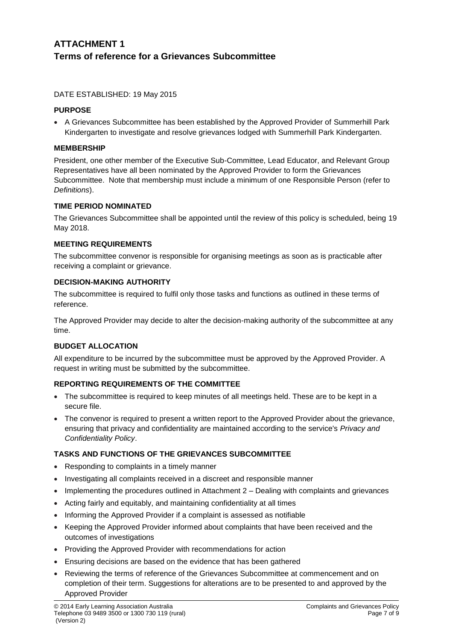# **ATTACHMENT 1 Terms of reference for a Grievances Subcommittee**

#### DATE ESTABLISHED: 19 May 2015

#### **PURPOSE**

• A Grievances Subcommittee has been established by the Approved Provider of Summerhill Park Kindergarten to investigate and resolve grievances lodged with Summerhill Park Kindergarten.

#### **MEMBERSHIP**

President, one other member of the Executive Sub-Committee, Lead Educator, and Relevant Group Representatives have all been nominated by the Approved Provider to form the Grievances Subcommittee. Note that membership must include a minimum of one Responsible Person (refer to *Definitions*).

#### **TIME PERIOD NOMINATED**

The Grievances Subcommittee shall be appointed until the review of this policy is scheduled, being 19 May 2018.

#### **MEETING REQUIREMENTS**

The subcommittee convenor is responsible for organising meetings as soon as is practicable after receiving a complaint or grievance.

## **DECISION-MAKING AUTHORITY**

The subcommittee is required to fulfil only those tasks and functions as outlined in these terms of reference.

The Approved Provider may decide to alter the decision-making authority of the subcommittee at any time.

## **BUDGET ALLOCATION**

All expenditure to be incurred by the subcommittee must be approved by the Approved Provider. A request in writing must be submitted by the subcommittee.

## **REPORTING REQUIREMENTS OF THE COMMITTEE**

- The subcommittee is required to keep minutes of all meetings held. These are to be kept in a secure file.
- The convenor is required to present a written report to the Approved Provider about the grievance, ensuring that privacy and confidentiality are maintained according to the service's *Privacy and Confidentiality Policy*.

## **TASKS AND FUNCTIONS OF THE GRIEVANCES SUBCOMMITTEE**

- Responding to complaints in a timely manner
- Investigating all complaints received in a discreet and responsible manner
- Implementing the procedures outlined in Attachment 2 Dealing with complaints and grievances
- Acting fairly and equitably, and maintaining confidentiality at all times
- Informing the Approved Provider if a complaint is assessed as notifiable
- Keeping the Approved Provider informed about complaints that have been received and the outcomes of investigations
- Providing the Approved Provider with recommendations for action
- Ensuring decisions are based on the evidence that has been gathered
- Reviewing the terms of reference of the Grievances Subcommittee at commencement and on completion of their term. Suggestions for alterations are to be presented to and approved by the Approved Provider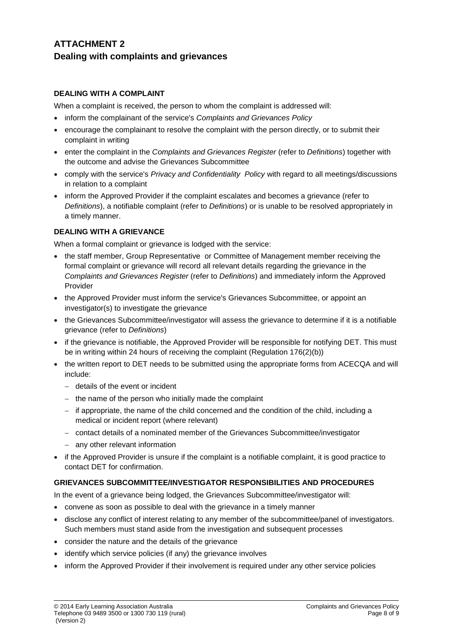# **ATTACHMENT 2 Dealing with complaints and grievances**

# **DEALING WITH A COMPLAINT**

When a complaint is received, the person to whom the complaint is addressed will:

- inform the complainant of the service's *Complaints and Grievances Policy*
- encourage the complainant to resolve the complaint with the person directly, or to submit their complaint in writing
- enter the complaint in the *Complaints and Grievances Register* (refer to *Definitions*) together with the outcome and advise the Grievances Subcommittee
- comply with the service's *Privacy and Confidentiality Policy* with regard to all meetings/discussions in relation to a complaint
- inform the Approved Provider if the complaint escalates and becomes a grievance (refer to *Definitions*), a notifiable complaint (refer to *Definitions*) or is unable to be resolved appropriately in a timely manner.

# **DEALING WITH A GRIEVANCE**

When a formal complaint or grievance is lodged with the service:

- the staff member, Group Representative or Committee of Management member receiving the formal complaint or grievance will record all relevant details regarding the grievance in the *Complaints and Grievances Register* (refer to *Definitions*) and immediately inform the Approved Provider
- the Approved Provider must inform the service's Grievances Subcommittee, or appoint an investigator(s) to investigate the grievance
- the Grievances Subcommittee/investigator will assess the grievance to determine if it is a notifiable grievance (refer to *Definitions*)
- if the grievance is notifiable, the Approved Provider will be responsible for notifying DET. This must be in writing within 24 hours of receiving the complaint (Regulation 176(2)(b))
- the written report to DET needs to be submitted using the appropriate forms from ACECQA and will include:
	- − details of the event or incident
	- − the name of the person who initially made the complaint
	- − if appropriate, the name of the child concerned and the condition of the child, including a medical or incident report (where relevant)
	- − contact details of a nominated member of the Grievances Subcommittee/investigator
	- − any other relevant information
- if the Approved Provider is unsure if the complaint is a notifiable complaint, it is good practice to contact DET for confirmation.

## **GRIEVANCES SUBCOMMITTEE/INVESTIGATOR RESPONSIBILITIES AND PROCEDURES**

In the event of a grievance being lodged, the Grievances Subcommittee/investigator will:

- convene as soon as possible to deal with the grievance in a timely manner
- disclose any conflict of interest relating to any member of the subcommittee/panel of investigators. Such members must stand aside from the investigation and subsequent processes
- consider the nature and the details of the grievance
- identify which service policies (if any) the grievance involves
- inform the Approved Provider if their involvement is required under any other service policies